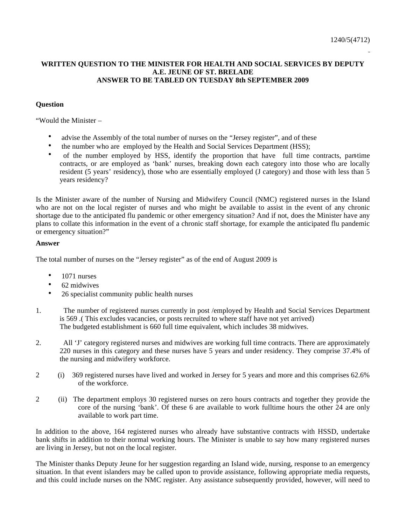## **WRITTEN QUESTION TO THE MINISTER FOR HEALTH AND SOCIAL SERVICES BY DEPUTY A.E. JEUNE OF ST. BRELADE ANSWER TO BE TABLED ON TUESDAY 8th SEPTEMBER 2009**

## **Question**

"Would the Minister –

- advise the Assembly of the total number of nurses on the "Jersey register", and of these
- the number who are employed by the Health and Social Services Department (HSS);
- of the number employed by HSS, identify the proportion that have full time contracts, part-time contracts, or are employed as 'bank' nurses, breaking down each category into those who are locally resident (5 years' residency), those who are essentially employed (J category) and those with less than 5 years residency?

Is the Minister aware of the number of Nursing and Midwifery Council (NMC) registered nurses in the Island who are not on the local register of nurses and who might be available to assist in the event of any chronic shortage due to the anticipated flu pandemic or other emergency situation? And if not, does the Minister have any plans to collate this information in the event of a chronic staff shortage, for example the anticipated flu pandemic or emergency situation?"

## **Answer**

The total number of nurses on the "Jersey register" as of the end of August 2009 is

- 1071 nurses
- 62 midwives
- 26 specialist community public health nurses
- 1. The number of registered nurses currently in post /employed by Health and Social Services Department is 569 .( This excludes vacancies, or posts recruited to where staff have not yet arrived) The budgeted establishment is 660 full time equivalent, which includes 38 midwives.
- 2. All 'J' category registered nurses and midwives are working full time contracts. There are approximately 220 nurses in this category and these nurses have 5 years and under residency. They comprise 37.4% of the nursing and midwifery workforce.
- 2 (i) 369 registered nurses have lived and worked in Jersey for 5 years and more and this comprises 62.6% of the workforce.
- 2 (ii) The department employs 30 registered nurses on zero hours contracts and together they provide the core of the nursing 'bank'. Of these 6 are available to work fulltime hours the other 24 are only available to work part time.

In addition to the above, 164 registered nurses who already have substantive contracts with HSSD, undertake bank shifts in addition to their normal working hours. The Minister is unable to say how many registered nurses are living in Jersey, but not on the local register.

The Minister thanks Deputy Jeune for her suggestion regarding an Island wide, nursing, response to an emergency situation. In that event islanders may be called upon to provide assistance, following appropriate media requests, and this could include nurses on the NMC register. Any assistance subsequently provided, however, will need to